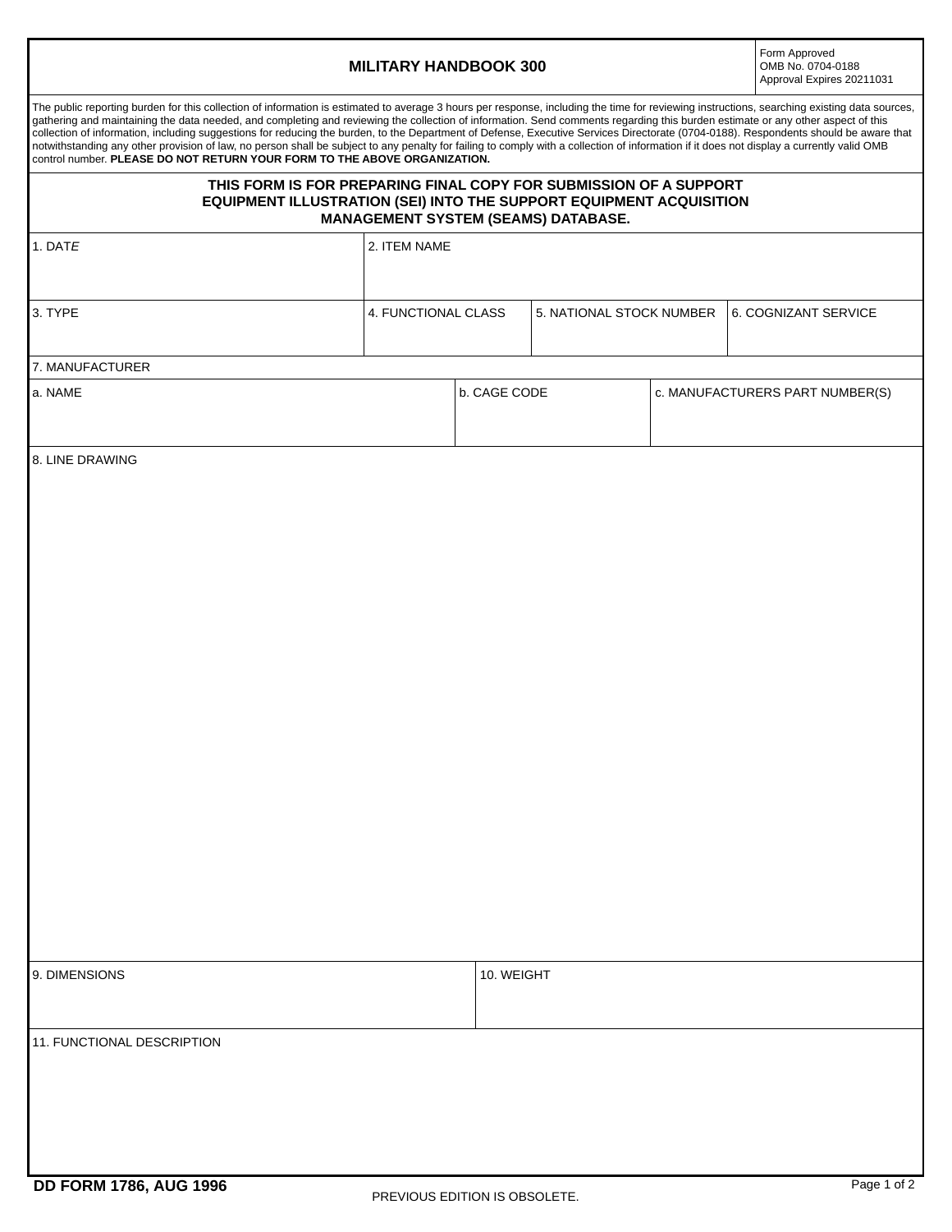## **MILITARY HANDBOOK 300**

Form Approved OMB No. 0704-0188 Approval Expires 20211031

| The public reporting burden for this collection of information is estimated to average 3 hours per response, including the time for reviewing instructions, searching existing data sources,<br>gathering and maintaining the data needed, and completing and reviewing the collection of information. Send comments regarding this burden estimate or any other aspect of this<br>collection of information, including suggestions for reducing the burden, to the Department of Defense, Executive Services Directorate (0704-0188). Respondents should be aware that<br>notwithstanding any other provision of law, no person shall be subject to any penalty for failing to comply with a collection of information if it does not display a currently valid OMB<br>control number. PLEASE DO NOT RETURN YOUR FORM TO THE ABOVE ORGANIZATION. |                                                                                                                                                                                        |                     |  |                          |                                 |                      |  |
|---------------------------------------------------------------------------------------------------------------------------------------------------------------------------------------------------------------------------------------------------------------------------------------------------------------------------------------------------------------------------------------------------------------------------------------------------------------------------------------------------------------------------------------------------------------------------------------------------------------------------------------------------------------------------------------------------------------------------------------------------------------------------------------------------------------------------------------------------|----------------------------------------------------------------------------------------------------------------------------------------------------------------------------------------|---------------------|--|--------------------------|---------------------------------|----------------------|--|
|                                                                                                                                                                                                                                                                                                                                                                                                                                                                                                                                                                                                                                                                                                                                                                                                                                                   | THIS FORM IS FOR PREPARING FINAL COPY FOR SUBMISSION OF A SUPPORT<br>EQUIPMENT ILLUSTRATION (SEI) INTO THE SUPPORT EQUIPMENT ACQUISITION<br><b>MANAGEMENT SYSTEM (SEAMS) DATABASE.</b> |                     |  |                          |                                 |                      |  |
| 1. DATE                                                                                                                                                                                                                                                                                                                                                                                                                                                                                                                                                                                                                                                                                                                                                                                                                                           | 2. ITEM NAME                                                                                                                                                                           |                     |  |                          |                                 |                      |  |
| 3. TYPE                                                                                                                                                                                                                                                                                                                                                                                                                                                                                                                                                                                                                                                                                                                                                                                                                                           |                                                                                                                                                                                        | 4. FUNCTIONAL CLASS |  | 5. NATIONAL STOCK NUMBER |                                 | 6. COGNIZANT SERVICE |  |
| 7. MANUFACTURER                                                                                                                                                                                                                                                                                                                                                                                                                                                                                                                                                                                                                                                                                                                                                                                                                                   |                                                                                                                                                                                        |                     |  |                          |                                 |                      |  |
| a. NAME                                                                                                                                                                                                                                                                                                                                                                                                                                                                                                                                                                                                                                                                                                                                                                                                                                           |                                                                                                                                                                                        | b. CAGE CODE        |  |                          | c. MANUFACTURERS PART NUMBER(S) |                      |  |
| 8. LINE DRAWING                                                                                                                                                                                                                                                                                                                                                                                                                                                                                                                                                                                                                                                                                                                                                                                                                                   |                                                                                                                                                                                        |                     |  |                          |                                 |                      |  |
| 9. DIMENSIONS                                                                                                                                                                                                                                                                                                                                                                                                                                                                                                                                                                                                                                                                                                                                                                                                                                     |                                                                                                                                                                                        | 10. WEIGHT          |  |                          |                                 |                      |  |
| 11. FUNCTIONAL DESCRIPTION                                                                                                                                                                                                                                                                                                                                                                                                                                                                                                                                                                                                                                                                                                                                                                                                                        |                                                                                                                                                                                        |                     |  |                          |                                 |                      |  |
| <b>DD FORM 1786, AUG 1996</b>                                                                                                                                                                                                                                                                                                                                                                                                                                                                                                                                                                                                                                                                                                                                                                                                                     | PREVIOUS EDITION IS OBSOLETE.                                                                                                                                                          |                     |  |                          |                                 | Page 1 of 2          |  |